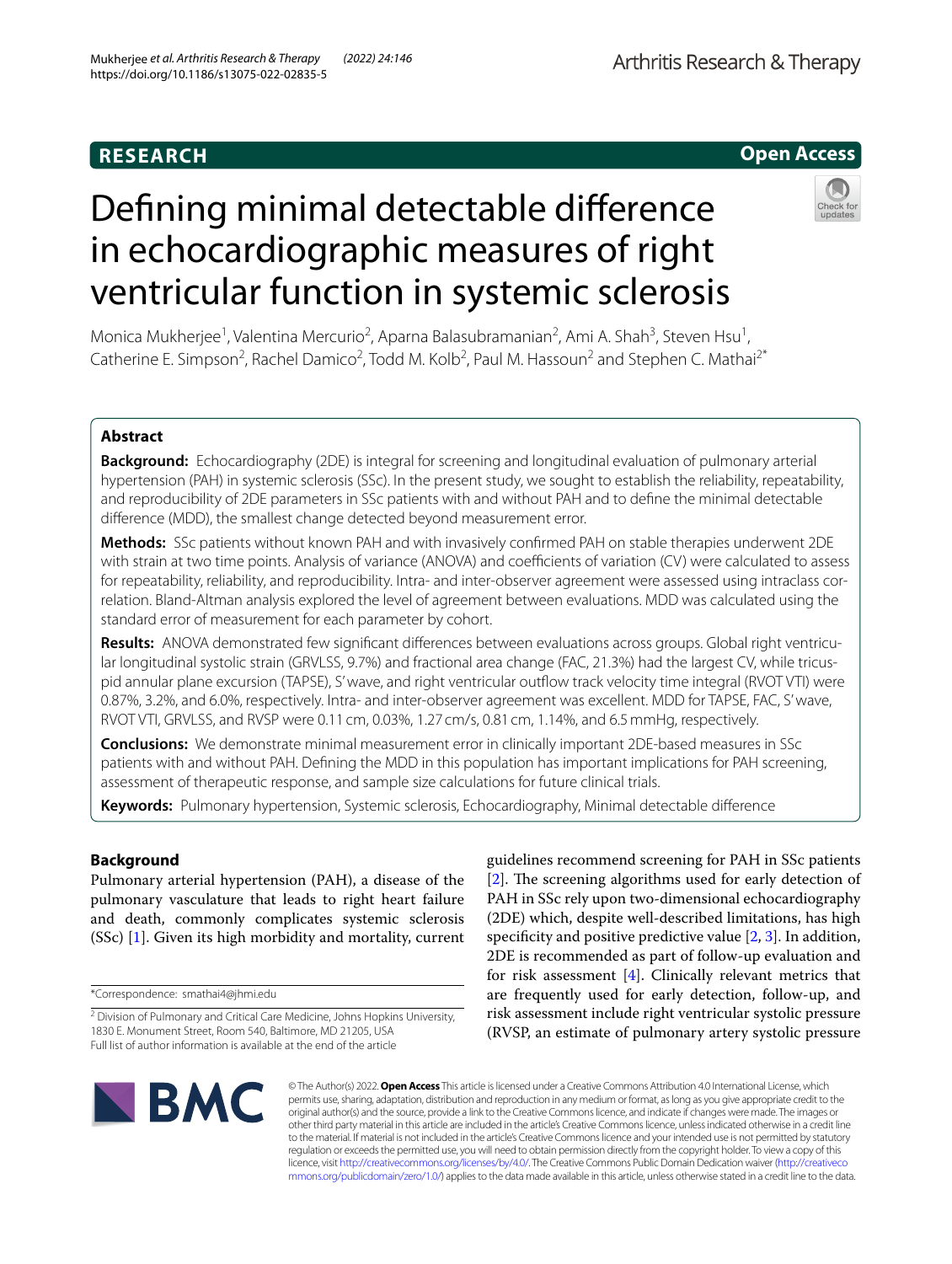# **RESEARCH**

# **Open Access**

# Defning minimal detectable diference in echocardiographic measures of right ventricular function in systemic sclerosis



Monica Mukherjee<sup>1</sup>, Valentina Mercurio<sup>2</sup>, Aparna Balasubramanian<sup>2</sup>, Ami A. Shah<sup>3</sup>, Steven Hsu<sup>1</sup>, Catherine E. Simpson<sup>2</sup>, Rachel Damico<sup>2</sup>, Todd M. Kolb<sup>2</sup>, Paul M. Hassoun<sup>2</sup> and Stephen C. Mathai<sup>2\*</sup>

# **Abstract**

**Background:** Echocardiography (2DE) is integral for screening and longitudinal evaluation of pulmonary arterial hypertension (PAH) in systemic sclerosis (SSc). In the present study, we sought to establish the reliability, repeatability, and reproducibility of 2DE parameters in SSc patients with and without PAH and to defne the minimal detectable diference (MDD), the smallest change detected beyond measurement error.

**Methods:** SSc patients without known PAH and with invasively confrmed PAH on stable therapies underwent 2DE with strain at two time points. Analysis of variance (ANOVA) and coefficients of variation (CV) were calculated to assess for repeatability, reliability, and reproducibility. Intra- and inter-observer agreement were assessed using intraclass correlation. Bland-Altman analysis explored the level of agreement between evaluations. MDD was calculated using the standard error of measurement for each parameter by cohort.

**Results:** ANOVA demonstrated few signifcant diferences between evaluations across groups. Global right ventricular longitudinal systolic strain (GRVLSS, 9.7%) and fractional area change (FAC, 21.3%) had the largest CV, while tricuspid annular plane excursion (TAPSE), S' wave, and right ventricular outfow track velocity time integral (RVOT VTI) were 0.87%, 3.2%, and 6.0%, respectively. Intra- and inter-observer agreement was excellent. MDD for TAPSE, FAC, S' wave, RVOT VTI, GRVLSS, and RVSP were 0.11 cm, 0.03%, 1.27 cm/s, 0.81 cm, 1.14%, and 6.5mmHg, respectively.

**Conclusions:** We demonstrate minimal measurement error in clinically important 2DE-based measures in SSc patients with and without PAH. Defning the MDD in this population has important implications for PAH screening, assessment of therapeutic response, and sample size calculations for future clinical trials.

**Keywords:** Pulmonary hypertension, Systemic sclerosis, Echocardiography, Minimal detectable diference

# **Background**

Pulmonary arterial hypertension (PAH), a disease of the pulmonary vasculature that leads to right heart failure and death, commonly complicates systemic sclerosis (SSc) [\[1](#page-8-0)]. Given its high morbidity and mortality, current

\*Correspondence: smathai4@jhmi.edu

guidelines recommend screening for PAH in SSc patients  $[2]$  $[2]$ . The screening algorithms used for early detection of PAH in SSc rely upon two-dimensional echocardiography (2DE) which, despite well-described limitations, has high specificity and positive predictive value  $[2, 3]$  $[2, 3]$  $[2, 3]$ . In addition, 2DE is recommended as part of follow-up evaluation and for risk assessment [[4\]](#page-9-0). Clinically relevant metrics that are frequently used for early detection, follow-up, and risk assessment include right ventricular systolic pressure (RVSP, an estimate of pulmonary artery systolic pressure



© The Author(s) 2022. **Open Access** This article is licensed under a Creative Commons Attribution 4.0 International License, which permits use, sharing, adaptation, distribution and reproduction in any medium or format, as long as you give appropriate credit to the original author(s) and the source, provide a link to the Creative Commons licence, and indicate if changes were made. The images or other third party material in this article are included in the article's Creative Commons licence, unless indicated otherwise in a credit line to the material. If material is not included in the article's Creative Commons licence and your intended use is not permitted by statutory regulation or exceeds the permitted use, you will need to obtain permission directly from the copyright holder. To view a copy of this licence, visit [http://creativecommons.org/licenses/by/4.0/.](http://creativecommons.org/licenses/by/4.0/) The Creative Commons Public Domain Dedication waiver ([http://creativeco](http://creativecommons.org/publicdomain/zero/1.0/) [mmons.org/publicdomain/zero/1.0/](http://creativecommons.org/publicdomain/zero/1.0/)) applies to the data made available in this article, unless otherwise stated in a credit line to the data.

<sup>&</sup>lt;sup>2</sup> Division of Pulmonary and Critical Care Medicine, Johns Hopkins University, 1830 E. Monument Street, Room 540, Baltimore, MD 21205, USA Full list of author information is available at the end of the article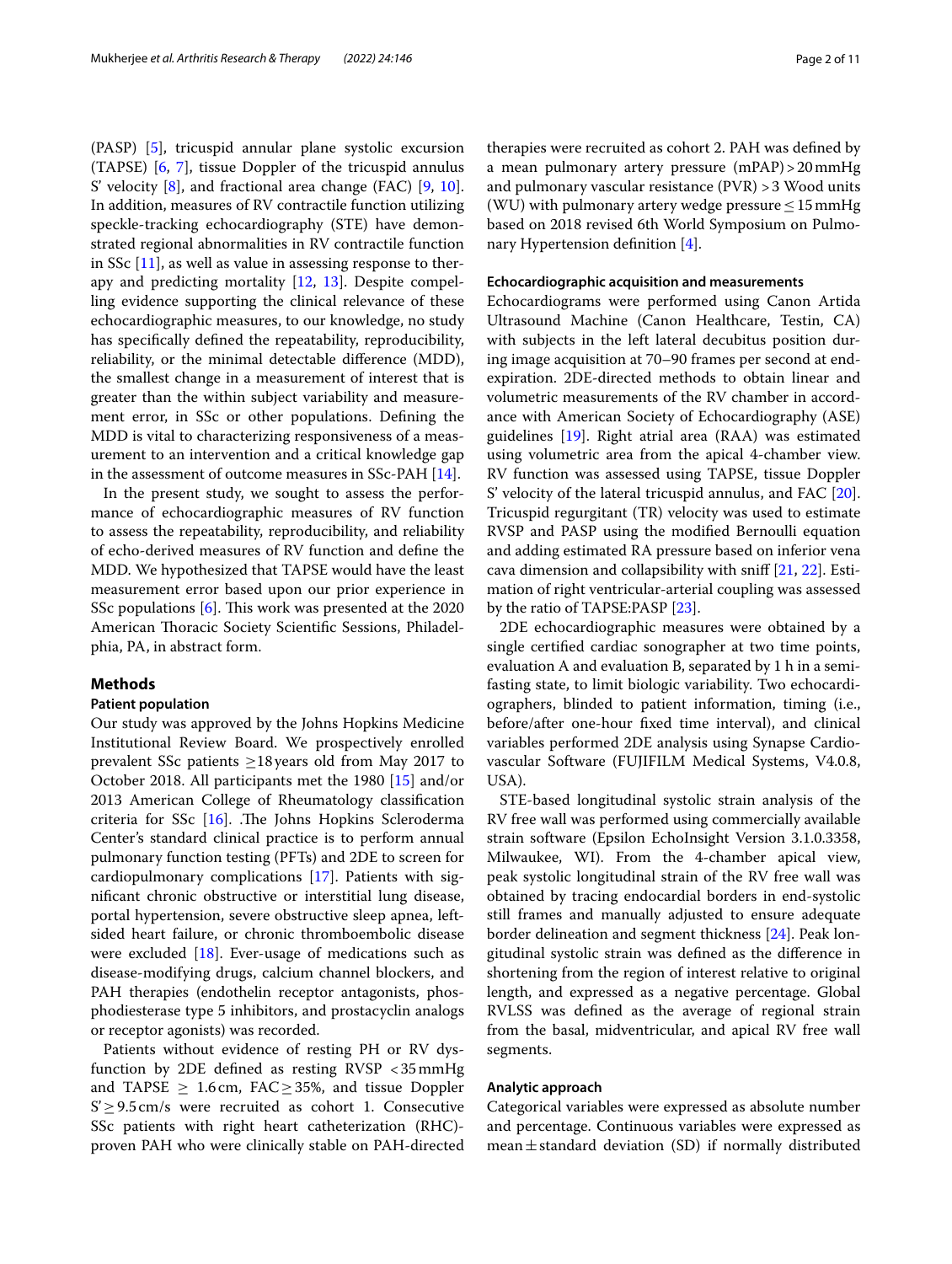(PASP) [\[5](#page-9-1)], tricuspid annular plane systolic excursion (TAPSE) [\[6](#page-9-2), [7](#page-9-3)], tissue Doppler of the tricuspid annulus S' velocity [\[8](#page-9-4)], and fractional area change (FAC) [[9,](#page-9-5) [10](#page-9-6)]. In addition, measures of RV contractile function utilizing speckle-tracking echocardiography (STE) have demonstrated regional abnormalities in RV contractile function in SSc [[11\]](#page-9-7), as well as value in assessing response to therapy and predicting mortality [[12,](#page-9-8) [13\]](#page-9-9). Despite compelling evidence supporting the clinical relevance of these echocardiographic measures, to our knowledge, no study has specifcally defned the repeatability, reproducibility, reliability, or the minimal detectable diference (MDD), the smallest change in a measurement of interest that is greater than the within subject variability and measurement error, in SSc or other populations. Defning the MDD is vital to characterizing responsiveness of a measurement to an intervention and a critical knowledge gap in the assessment of outcome measures in SSc-PAH [\[14\]](#page-9-10).

In the present study, we sought to assess the performance of echocardiographic measures of RV function to assess the repeatability, reproducibility, and reliability of echo-derived measures of RV function and defne the MDD. We hypothesized that TAPSE would have the least measurement error based upon our prior experience in SSc populations  $[6]$ . This work was presented at the 2020 American Thoracic Society Scientific Sessions, Philadelphia, PA, in abstract form.

# **Methods**

# **Patient population**

Our study was approved by the Johns Hopkins Medicine Institutional Review Board. We prospectively enrolled prevalent SSc patients  $\geq$ 18 years old from May 2017 to October 2018. All participants met the 1980 [[15\]](#page-9-11) and/or 2013 American College of Rheumatology classifcation criteria for SSc  $[16]$  $[16]$ . The Johns Hopkins Scleroderma Center's standard clinical practice is to perform annual pulmonary function testing (PFTs) and 2DE to screen for cardiopulmonary complications [[17](#page-9-13)]. Patients with signifcant chronic obstructive or interstitial lung disease, portal hypertension, severe obstructive sleep apnea, leftsided heart failure, or chronic thromboembolic disease were excluded [\[18](#page-9-14)]. Ever-usage of medications such as disease-modifying drugs, calcium channel blockers, and PAH therapies (endothelin receptor antagonists, phosphodiesterase type 5 inhibitors, and prostacyclin analogs or receptor agonists) was recorded.

Patients without evidence of resting PH or RV dysfunction by 2DE defned as resting RVSP <35mmHg and TAPSE  $\geq 1.6$  cm, FAC  $\geq 35$ %, and tissue Doppler  $S' \geq 9.5$  cm/s were recruited as cohort 1. Consecutive SSc patients with right heart catheterization (RHC) proven PAH who were clinically stable on PAH-directed therapies were recruited as cohort 2. PAH was defned by a mean pulmonary artery pressure (mPAP)>20mmHg and pulmonary vascular resistance (PVR) >3 Wood units (WU) with pulmonary artery wedge pressure  $\leq 15$  mmHg based on 2018 revised 6th World Symposium on Pulmonary Hypertension defnition [[4\]](#page-9-0).

# **Echocardiographic acquisition and measurements**

Echocardiograms were performed using Canon Artida Ultrasound Machine (Canon Healthcare, Testin, CA) with subjects in the left lateral decubitus position during image acquisition at 70–90 frames per second at endexpiration. 2DE-directed methods to obtain linear and volumetric measurements of the RV chamber in accordance with American Society of Echocardiography (ASE) guidelines [[19\]](#page-9-15). Right atrial area (RAA) was estimated using volumetric area from the apical 4-chamber view. RV function was assessed using TAPSE, tissue Doppler S' velocity of the lateral tricuspid annulus, and FAC [\[20](#page-9-16)]. Tricuspid regurgitant (TR) velocity was used to estimate RVSP and PASP using the modifed Bernoulli equation and adding estimated RA pressure based on inferior vena cava dimension and collapsibility with snif [\[21,](#page-9-17) [22\]](#page-9-18). Estimation of right ventricular-arterial coupling was assessed by the ratio of TAPSE:PASP [\[23](#page-9-19)].

2DE echocardiographic measures were obtained by a single certifed cardiac sonographer at two time points, evaluation A and evaluation B, separated by 1 h in a semifasting state, to limit biologic variability. Two echocardiographers, blinded to patient information, timing (i.e., before/after one-hour fxed time interval), and clinical variables performed 2DE analysis using Synapse Cardiovascular Software (FUJIFILM Medical Systems, V4.0.8, USA).

STE-based longitudinal systolic strain analysis of the RV free wall was performed using commercially available strain software (Epsilon EchoInsight Version 3.1.0.3358, Milwaukee, WI). From the 4-chamber apical view, peak systolic longitudinal strain of the RV free wall was obtained by tracing endocardial borders in end-systolic still frames and manually adjusted to ensure adequate border delineation and segment thickness [\[24\]](#page-9-20). Peak longitudinal systolic strain was defned as the diference in shortening from the region of interest relative to original length, and expressed as a negative percentage. Global RVLSS was defned as the average of regional strain from the basal, midventricular, and apical RV free wall segments.

## **Analytic approach**

Categorical variables were expressed as absolute number and percentage. Continuous variables were expressed as mean $\pm$ standard deviation (SD) if normally distributed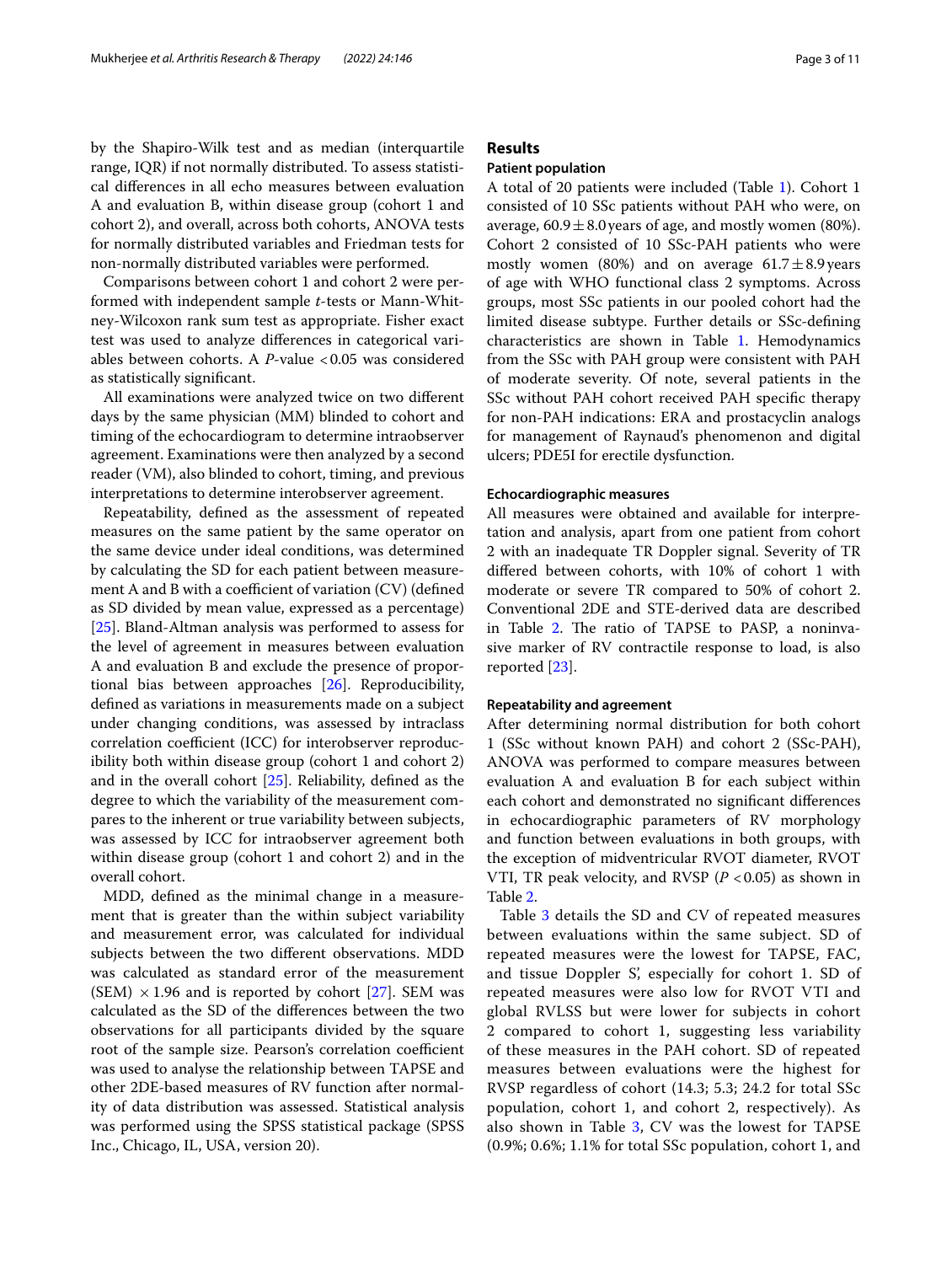by the Shapiro-Wilk test and as median (interquartile range, IQR) if not normally distributed. To assess statistical diferences in all echo measures between evaluation A and evaluation B, within disease group (cohort 1 and cohort 2), and overall, across both cohorts, ANOVA tests for normally distributed variables and Friedman tests for non-normally distributed variables were performed.

Comparisons between cohort 1 and cohort 2 were performed with independent sample *t*-tests or Mann-Whitney-Wilcoxon rank sum test as appropriate. Fisher exact test was used to analyze diferences in categorical variables between cohorts. A *P*-value <0.05 was considered as statistically signifcant.

All examinations were analyzed twice on two diferent days by the same physician (MM) blinded to cohort and timing of the echocardiogram to determine intraobserver agreement. Examinations were then analyzed by a second reader (VM), also blinded to cohort, timing, and previous interpretations to determine interobserver agreement.

Repeatability, defned as the assessment of repeated measures on the same patient by the same operator on the same device under ideal conditions, was determined by calculating the SD for each patient between measurement A and B with a coefficient of variation  $(CV)$  (defined as SD divided by mean value, expressed as a percentage) [[25\]](#page-9-21). Bland-Altman analysis was performed to assess for the level of agreement in measures between evaluation A and evaluation B and exclude the presence of proportional bias between approaches [\[26](#page-9-22)]. Reproducibility, defned as variations in measurements made on a subject under changing conditions, was assessed by intraclass correlation coefficient (ICC) for interobserver reproducibility both within disease group (cohort 1 and cohort 2) and in the overall cohort [[25](#page-9-21)]. Reliability, defned as the degree to which the variability of the measurement compares to the inherent or true variability between subjects, was assessed by ICC for intraobserver agreement both within disease group (cohort 1 and cohort 2) and in the overall cohort.

MDD, defned as the minimal change in a measurement that is greater than the within subject variability and measurement error, was calculated for individual subjects between the two diferent observations. MDD was calculated as standard error of the measurement (SEM)  $\times$  1.96 and is reported by cohort [\[27](#page-9-23)]. SEM was calculated as the SD of the diferences between the two observations for all participants divided by the square root of the sample size. Pearson's correlation coefficient was used to analyse the relationship between TAPSE and other 2DE-based measures of RV function after normality of data distribution was assessed. Statistical analysis was performed using the SPSS statistical package (SPSS Inc., Chicago, IL, USA, version 20).

# **Results**

# **Patient population**

A total of 20 patients were included (Table [1](#page-3-0)). Cohort 1 consisted of 10 SSc patients without PAH who were, on average,  $60.9 \pm 8.0$  years of age, and mostly women (80%). Cohort 2 consisted of 10 SSc-PAH patients who were mostly women (80%) and on average  $61.7 \pm 8.9$  years of age with WHO functional class 2 symptoms. Across groups, most SSc patients in our pooled cohort had the limited disease subtype. Further details or SSc-defning characteristics are shown in Table [1](#page-3-0). Hemodynamics from the SSc with PAH group were consistent with PAH of moderate severity. Of note, several patients in the SSc without PAH cohort received PAH specifc therapy for non-PAH indications: ERA and prostacyclin analogs for management of Raynaud's phenomenon and digital ulcers; PDE5I for erectile dysfunction.

# **Echocardiographic measures**

All measures were obtained and available for interpretation and analysis, apart from one patient from cohort 2 with an inadequate TR Doppler signal. Severity of TR difered between cohorts, with 10% of cohort 1 with moderate or severe TR compared to 50% of cohort 2. Conventional 2DE and STE-derived data are described in Table [2](#page-4-0). The ratio of TAPSE to PASP, a noninvasive marker of RV contractile response to load, is also reported [[23\]](#page-9-19).

#### **Repeatability and agreement**

After determining normal distribution for both cohort 1 (SSc without known PAH) and cohort 2 (SSc-PAH), ANOVA was performed to compare measures between evaluation A and evaluation B for each subject within each cohort and demonstrated no signifcant diferences in echocardiographic parameters of RV morphology and function between evaluations in both groups, with the exception of midventricular RVOT diameter, RVOT VTI, TR peak velocity, and RVSP  $(P < 0.05)$  as shown in Table [2](#page-4-0).

Table [3](#page-4-1) details the SD and CV of repeated measures between evaluations within the same subject. SD of repeated measures were the lowest for TAPSE, FAC, and tissue Doppler S', especially for cohort 1. SD of repeated measures were also low for RVOT VTI and global RVLSS but were lower for subjects in cohort 2 compared to cohort 1, suggesting less variability of these measures in the PAH cohort. SD of repeated measures between evaluations were the highest for RVSP regardless of cohort (14.3; 5.3; 24.2 for total SSc population, cohort 1, and cohort 2, respectively). As also shown in Table [3,](#page-4-1) CV was the lowest for TAPSE (0.9%; 0.6%; 1.1% for total SSc population, cohort 1, and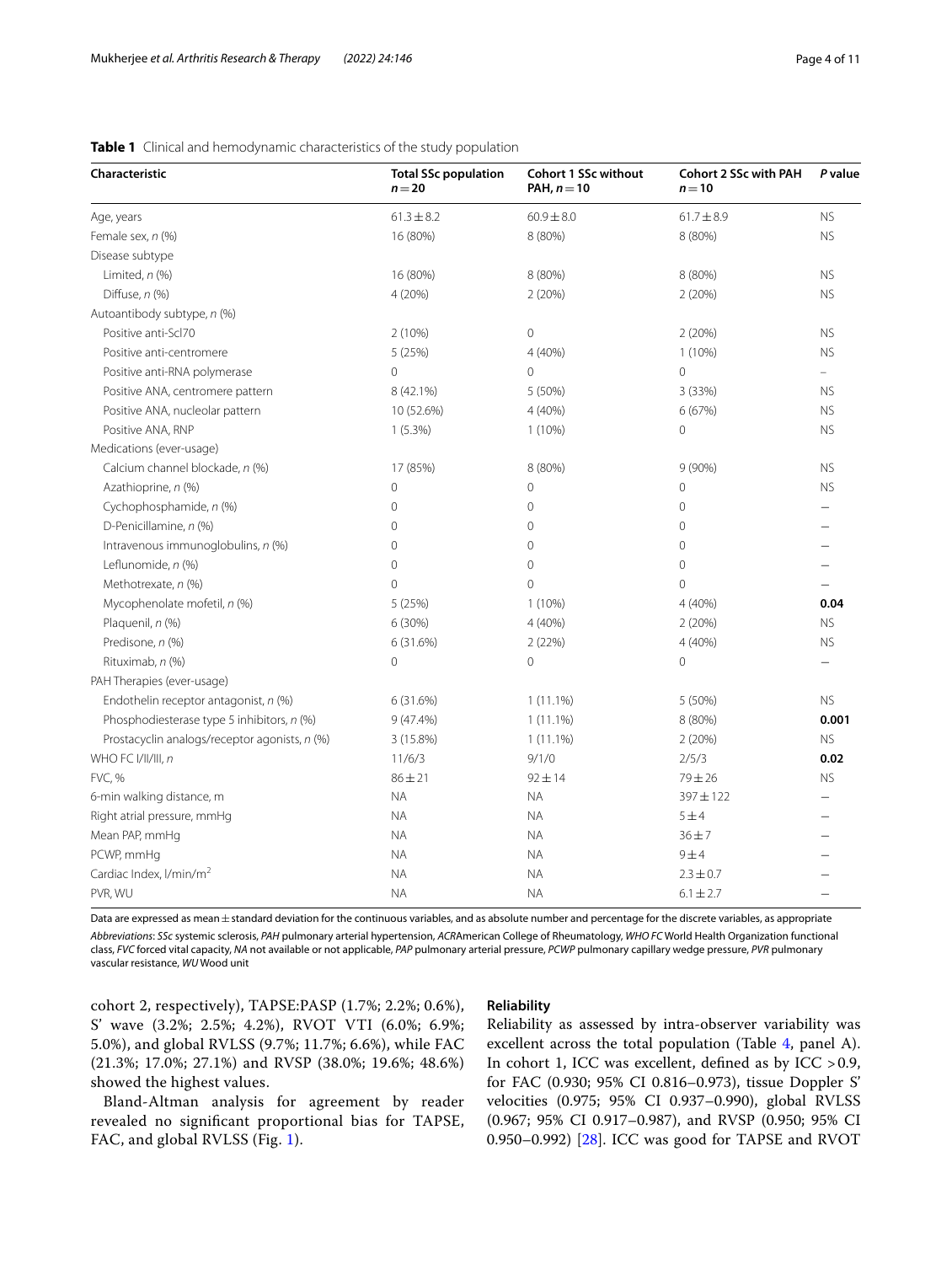| Characteristic                                | <b>Total SSc population</b><br>$n = 20$ | <b>Cohort 1 SSc without</b><br>PAH, $n = 10$ | <b>Cohort 2 SSc with PAH</b><br>$n = 10$ | P value                  |
|-----------------------------------------------|-----------------------------------------|----------------------------------------------|------------------------------------------|--------------------------|
| Age, years                                    | $61.3 \pm 8.2$                          | $60.9 \pm 8.0$                               | $61.7 \pm 8.9$                           | <b>NS</b>                |
| Female sex, n (%)                             | 16 (80%)                                | 8 (80%)                                      | 8 (80%)                                  | <b>NS</b>                |
| Disease subtype                               |                                         |                                              |                                          |                          |
| Limited, $n$ (%)                              | 16 (80%)                                | 8 (80%)                                      | 8 (80%)                                  | <b>NS</b>                |
| Diffuse, n (%)                                | 4 (20%)                                 | 2(20%)                                       | 2(20%)                                   | <b>NS</b>                |
| Autoantibody subtype, n (%)                   |                                         |                                              |                                          |                          |
| Positive anti-Scl70                           | 2(10%)                                  | $\mathbf 0$                                  | 2(20%)                                   | <b>NS</b>                |
| Positive anti-centromere                      | 5 (25%)                                 | 4 (40%)                                      | $1(10\%)$                                | <b>NS</b>                |
| Positive anti-RNA polymerase                  | 0                                       | $\mathbf{0}$                                 | 0                                        | $\overline{\phantom{0}}$ |
| Positive ANA, centromere pattern              | 8 (42.1%)                               | 5 (50%)                                      | 3 (33%)                                  | <b>NS</b>                |
| Positive ANA, nucleolar pattern               | 10 (52.6%)                              | 4 (40%)                                      | 6 (67%)                                  | <b>NS</b>                |
| Positive ANA, RNP                             | $1(5.3\%)$                              | $1(10\%)$                                    | 0                                        | <b>NS</b>                |
| Medications (ever-usage)                      |                                         |                                              |                                          |                          |
| Calcium channel blockade, n (%)               | 17 (85%)                                | 8 (80%)                                      | $9(90\%)$                                | <b>NS</b>                |
| Azathioprine, n (%)                           | 0                                       | $\mathbf 0$                                  | 0                                        | <b>NS</b>                |
| Cychophosphamide, n (%)                       | 0                                       | $\mathbf 0$                                  | 0                                        |                          |
| D-Penicillamine, n (%)                        | $\Omega$                                | $\overline{0}$                               | 0                                        |                          |
| Intravenous immunoglobulins, n (%)            | $\overline{0}$                          | $\mathbf 0$                                  | 0                                        |                          |
| Leflunomide, n (%)                            | $\overline{0}$                          | $\overline{0}$                               | $\overline{0}$                           |                          |
| Methotrexate, n (%)                           | $\overline{O}$                          | $\Omega$                                     | $\overline{O}$                           |                          |
| Mycophenolate mofetil, n (%)                  | 5 (25%)                                 | $1(10\%)$                                    | 4 (40%)                                  | 0.04                     |
| Plaquenil, n (%)                              | 6 (30%)                                 | 4 (40%)                                      | 2(20%)                                   | <b>NS</b>                |
| Predisone, n (%)                              | 6 (31.6%)                               | 2(22%)                                       | 4 (40%)                                  | <b>NS</b>                |
| Rituximab, n (%)                              | 0                                       | $\Omega$                                     | 0                                        |                          |
| PAH Therapies (ever-usage)                    |                                         |                                              |                                          |                          |
| Endothelin receptor antagonist, n (%)         | 6 (31.6%)                               | $1(11.1\%)$                                  | 5 (50%)                                  | <b>NS</b>                |
| Phosphodiesterase type 5 inhibitors, n (%)    | $9(47.4\%)$                             | $1(11.1\%)$                                  | 8 (80%)                                  | 0.001                    |
| Prostacyclin analogs/receptor agonists, n (%) | 3 (15.8%)                               | $1(11.1\%)$                                  | 2(20%)                                   | <b>NS</b>                |
| WHO FC I/II/III, n                            | 11/6/3                                  | 9/1/0                                        | 2/5/3                                    | 0.02                     |
| <b>FVC, %</b>                                 | $86 + 21$                               | $92 \pm 14$                                  | $79 + 26$                                | <b>NS</b>                |
| 6-min walking distance, m                     | <b>NA</b>                               | <b>NA</b>                                    | 397±122                                  |                          |
| Right atrial pressure, mmHg                   | <b>NA</b>                               | <b>NA</b>                                    | 5±4                                      |                          |
| Mean PAP, mmHg                                | $\sf NA$                                | <b>NA</b>                                    | $36 + 7$                                 |                          |
| PCWP, mmHq                                    | <b>NA</b>                               | <b>NA</b>                                    | 9±4                                      |                          |
| Cardiac Index, I/min/m <sup>2</sup>           | ΝA                                      | <b>NA</b>                                    | $2.3 \pm 0.7$                            |                          |
| PVR, WU                                       | <b>NA</b>                               | <b>NA</b>                                    | $6.1 \pm 2.7$                            |                          |

<span id="page-3-0"></span>**Table 1** Clinical and hemodynamic characteristics of the study population

Data are expressed as mean ± standard deviation for the continuous variables, and as absolute number and percentage for the discrete variables, as appropriate

*Abbreviations*: *SSc* systemic sclerosis, *PAH* pulmonary arterial hypertension, *ACR*American College of Rheumatology, *WHO FC* World Health Organization functional class, *FVC* forced vital capacity, *NA* not available or not applicable, *PAP* pulmonary arterial pressure, *PCWP* pulmonary capillary wedge pressure, *PVR* pulmonary vascular resistance, *WU* Wood unit

cohort 2, respectively), TAPSE:PASP (1.7%; 2.2%; 0.6%), S' wave (3.2%; 2.5%; 4.2%), RVOT VTI (6.0%; 6.9%; 5.0%), and global RVLSS (9.7%; 11.7%; 6.6%), while FAC (21.3%; 17.0%; 27.1%) and RVSP (38.0%; 19.6%; 48.6%) showed the highest values.

Bland-Altman analysis for agreement by reader revealed no signifcant proportional bias for TAPSE, FAC, and global RVLSS (Fig. [1](#page-5-0)).

# **Reliability**

Reliability as assessed by intra-observer variability was excellent across the total population (Table [4,](#page-6-0) panel A). In cohort 1, ICC was excellent, defned as by ICC >0.9, for FAC (0.930; 95% CI 0.816–0.973), tissue Doppler S' velocities (0.975; 95% CI 0.937–0.990), global RVLSS (0.967; 95% CI 0.917–0.987), and RVSP (0.950; 95% CI 0.950–0.992) [\[28](#page-9-24)]. ICC was good for TAPSE and RVOT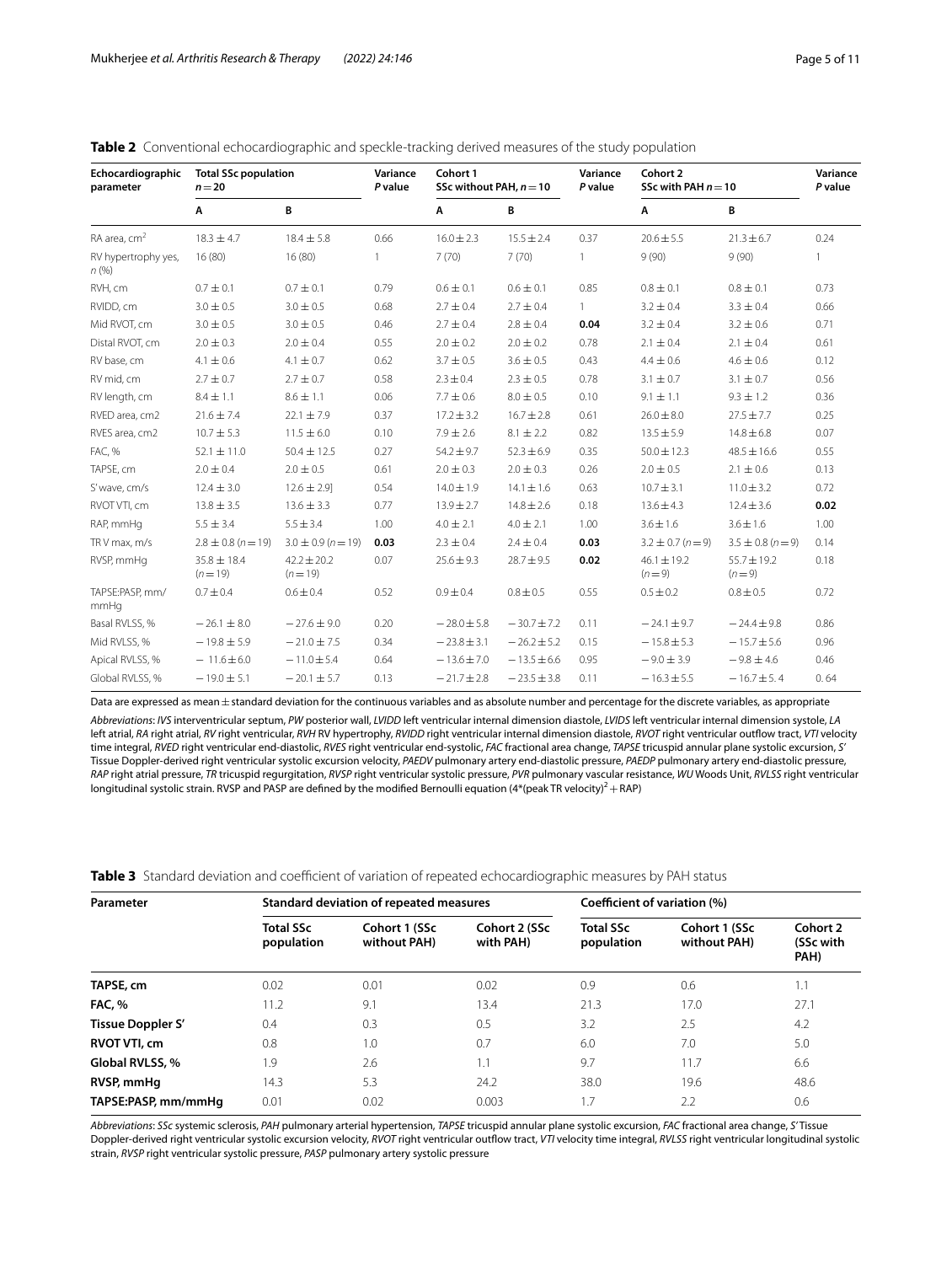| Echocardiographic<br>parameter | <b>Total SSc population</b><br>$n = 20$ |                               | Variance<br>P value | Cohort 1<br>SSc without PAH, $n = 10$ |                 | Variance<br>P value | Cohort 2<br>SSc with PAH $n = 10$ |                            | Variance<br>P value |
|--------------------------------|-----------------------------------------|-------------------------------|---------------------|---------------------------------------|-----------------|---------------------|-----------------------------------|----------------------------|---------------------|
|                                | A                                       | В                             |                     | A                                     | В               |                     | A                                 | В                          |                     |
| RA area, cm <sup>2</sup>       | $18.3 \pm 4.7$                          | $18.4 \pm 5.8$                | 0.66                | $16.0 \pm 2.3$                        | $15.5 \pm 2.4$  | 0.37                | $20.6 \pm 5.5$                    | $21.3 \pm 6.7$             | 0.24                |
| RV hypertrophy yes,<br>n(%)    | 16 (80)                                 | 16(80)                        | 1                   | 7(70)                                 | 7(70)           | $\mathbf{1}$        | 9(90)                             | 9(90)                      | 1                   |
| RVH, cm                        | $0.7 \pm 0.1$                           | $0.7 \pm 0.1$                 | 0.79                | $0.6 \pm 0.1$                         | $0.6 \pm 0.1$   | 0.85                | $0.8 \pm 0.1$                     | $0.8 \pm 0.1$              | 0.73                |
| RVIDD, cm                      | $3.0 \pm 0.5$                           | $3.0 \pm 0.5$                 | 0.68                | $2.7 \pm 0.4$                         | $2.7 \pm 0.4$   | $\mathbf{1}$        | $3.2 \pm 0.4$                     | $3.3 \pm 0.4$              | 0.66                |
| Mid RVOT, cm                   | $3.0 \pm 0.5$                           | $3.0 \pm 0.5$                 | 0.46                | $2.7 \pm 0.4$                         | $2.8 \pm 0.4$   | 0.04                | $3.2 \pm 0.4$                     | $3.2 \pm 0.6$              | 0.71                |
| Distal RVOT, cm                | $2.0 \pm 0.3$                           | $2.0 \pm 0.4$                 | 0.55                | $2.0 \pm 0.2$                         | $2.0 \pm 0.2$   | 0.78                | $2.1 \pm 0.4$                     | $2.1 \pm 0.4$              | 0.61                |
| RV base, cm                    | $4.1 \pm 0.6$                           | $4.1 \pm 0.7$                 | 0.62                | $3.7 \pm 0.5$                         | $3.6 \pm 0.5$   | 0.43                | $4.4 \pm 0.6$                     | $4.6 \pm 0.6$              | 0.12                |
| RV mid, cm                     | $2.7 \pm 0.7$                           | $2.7 \pm 0.7$                 | 0.58                | $2.3 \pm 0.4$                         | $2.3 \pm 0.5$   | 0.78                | $3.1 \pm 0.7$                     | $3.1 \pm 0.7$              | 0.56                |
| RV length, cm                  | $8.4 \pm 1.1$                           | $8.6 \pm 1.1$                 | 0.06                | $7.7 \pm 0.6$                         | $8.0 \pm 0.5$   | 0.10                | $9.1 \pm 1.1$                     | $9.3 \pm 1.2$              | 0.36                |
| RVED area, cm2                 | $21.6 \pm 7.4$                          | $22.1 \pm 7.9$                | 0.37                | $17.2 \pm 3.2$                        | $16.7 \pm 2.8$  | 0.61                | $26.0 \pm 8.0$                    | $27.5 \pm 7.7$             | 0.25                |
| RVES area, cm2                 | $10.7 \pm 5.3$                          | $11.5 \pm 6.0$                | 0.10                | $7.9 \pm 2.6$                         | $8.1 \pm 2.2$   | 0.82                | $13.5 \pm 5.9$                    | $14.8 \pm 6.8$             | 0.07                |
| <b>FAC, %</b>                  | $52.1 \pm 11.0$                         | $50.4 \pm 12.5$               | 0.27                | $54.2 \pm 9.7$                        | $52.3 \pm 6.9$  | 0.35                | $50.0 \pm 12.3$                   | $48.5 \pm 16.6$            | 0.55                |
| TAPSE, cm                      | $2.0 \pm 0.4$                           | $2.0 \pm 0.5$                 | 0.61                | $2.0 \pm 0.3$                         | $2.0 \pm 0.3$   | 0.26                | $2.0 \pm 0.5$                     | $2.1 \pm 0.6$              | 0.13                |
| S' wave, cm/s                  | $12.4 \pm 3.0$                          | $12.6 \pm 2.9$ ]              | 0.54                | $14.0 \pm 1.9$                        | $14.1 \pm 1.6$  | 0.63                | $10.7 \pm 3.1$                    | $11.0 \pm 3.2$             | 0.72                |
| RVOT VTI, cm                   | $13.8 \pm 3.5$                          | $13.6 \pm 3.3$                | 0.77                | $13.9 \pm 2.7$                        | $14.8 \pm 2.6$  | 0.18                | $13.6 \pm 4.3$                    | $12.4 \pm 3.6$             | 0.02                |
| RAP, mmHq                      | $5.5 \pm 3.4$                           | $5.5 \pm 3.4$                 | 1.00                | $4.0 \pm 2.1$                         | $4.0 \pm 2.1$   | 1.00                | $3.6 \pm 1.6$                     | $3.6 \pm 1.6$              | 1.00                |
| TRV max, m/s                   | $2.8 \pm 0.8$ (n = 19)                  | $3.0 \pm 0.9$ (n = 19)        | 0.03                | $2.3 \pm 0.4$                         | $2.4 \pm 0.4$   | 0.03                | $3.2 \pm 0.7$ (n = 9)             | $3.5 \pm 0.8$ (n = 9)      | 0.14                |
| RVSP, mmHq                     | $35.8 \pm 18.4$<br>$(n=19)$             | $42.2 \pm 20.2$<br>$(n = 19)$ | 0.07                | $25.6 \pm 9.3$                        | $28.7 + 9.5$    | 0.02                | $46.1 \pm 19.2$<br>$(n=9)$        | $55.7 \pm 19.2$<br>$(n=9)$ | 0.18                |
| TAPSE:PASP.mm/<br>mmHq         | $0.7 \pm 0.4$                           | $0.6 \pm 0.4$                 | 0.52                | $0.9 \pm 0.4$                         | $0.8 \pm 0.5$   | 0.55                | $0.5 \pm 0.2$                     | $0.8 \pm 0.5$              | 0.72                |
| Basal RVLSS, %                 | $-26.1 \pm 8.0$                         | $-27.6 \pm 9.0$               | 0.20                | $-28.0 \pm 5.8$                       | $-30.7 \pm 7.2$ | 0.11                | $-24.1 \pm 9.7$                   | $-24.4 \pm 9.8$            | 0.86                |
| Mid RVLSS, %                   | $-19.8 \pm 5.9$                         | $-21.0 \pm 7.5$               | 0.34                | $-23.8 \pm 3.1$                       | $-26.2 \pm 5.2$ | 0.15                | $-15.8 \pm 5.3$                   | $-15.7 \pm 5.6$            | 0.96                |
| Apical RVLSS, %                | $-11.6 \pm 6.0$                         | $-11.0 \pm 5.4$               | 0.64                | $-13.6 \pm 7.0$                       | $-13.5 \pm 6.6$ | 0.95                | $-9.0 \pm 3.9$                    | $-9.8 \pm 4.6$             | 0.46                |
| Global RVLSS, %                | $-19.0 \pm 5.1$                         | $-20.1 \pm 5.7$               | 0.13                | $-21.7 \pm 2.8$                       | $-23.5 \pm 3.8$ | 0.11                | $-16.3 \pm 5.5$                   | $-16.7 \pm 5.4$            | 0.64                |

<span id="page-4-0"></span>

| Table 2 Conventional echocardiographic and speckle-tracking derived measures of the study population |  |
|------------------------------------------------------------------------------------------------------|--|
|------------------------------------------------------------------------------------------------------|--|

Data are expressed as mean±standard deviation for the continuous variables and as absolute number and percentage for the discrete variables, as appropriate *Abbreviations*: *IVS* interventricular septum, *PW* posterior wall, *LVIDD* left ventricular internal dimension diastole, *LVIDS* left ventricular internal dimension systole, *LA* left atrial, *RA* right atrial, *RV* right ventricular, *RVH* RV hypertrophy, *RVIDD* right ventricular internal dimension diastole, *RVOT* right ventricular outfow tract, *VTI* velocity time integral, *RVED* right ventricular end-diastolic, *RVES* right ventricular end-systolic, *FAC* fractional area change, *TAPSE* tricuspid annular plane systolic excursion, *S'* Tissue Doppler-derived right ventricular systolic excursion velocity, *PAEDV* pulmonary artery end-diastolic pressure, *PAEDP* pulmonary artery end-diastolic pressure, *RAP* right atrial pressure, *TR* tricuspid regurgitation, *RVSP* right ventricular systolic pressure, *PVR* pulmonary vascular resistance, *WU* Woods Unit, *RVLSS* right ventricular longitudinal systolic strain. RVSP and PASP are defined by the modified Bernoulli equation (4\*(peak TR velocity)<sup>2</sup> + RAP)

#### <span id="page-4-1"></span>Table 3 Standard deviation and coefficient of variation of repeated echocardiographic measures by PAH status

| Parameter           |                                | <b>Standard deviation of repeated measures</b> |                            | Coefficient of variation (%)   |                               |                               |  |
|---------------------|--------------------------------|------------------------------------------------|----------------------------|--------------------------------|-------------------------------|-------------------------------|--|
|                     | <b>Total SSc</b><br>population | Cohort 1 (SSc<br>without PAH)                  | Cohort 2 (SSc<br>with PAH) | <b>Total SSc</b><br>population | Cohort 1 (SSc<br>without PAH) | Cohort 2<br>(SSc with<br>PAH) |  |
| TAPSE, cm           | 0.02                           | 0.01                                           | 0.02                       | 0.9                            | 0.6                           | 1.1                           |  |
| <b>FAC. %</b>       | 11.2                           | 9.1                                            | 13.4                       | 21.3                           | 17.0                          | 27.1                          |  |
| Tissue Doppler S'   | 0.4                            | 0.3                                            | 0.5                        | 3.2                            | 2.5                           | 4.2                           |  |
| RVOT VTI, cm        | 0.8                            | 1.0                                            | 0.7                        | 6.0                            | 7.0                           | 5.0                           |  |
| Global RVLSS, %     | 1.9                            | 2.6                                            | 1.1                        | 9.7                            | 11.7                          | 6.6                           |  |
| RVSP, mmHq          | 14.3                           | 5.3                                            | 24.2                       | 38.0                           | 19.6                          | 48.6                          |  |
| TAPSE:PASP, mm/mmHq | 0.01                           | 0.02                                           | 0.003                      | 1.7                            | 2.2                           | 0.6                           |  |

*Abbreviations*: *SSc* systemic sclerosis, *PAH* pulmonary arterial hypertension, *TAPSE* tricuspid annular plane systolic excursion, *FAC* fractional area change, *S'* Tissue Doppler-derived right ventricular systolic excursion velocity, *RVOT* right ventricular outfow tract, *VTI* velocity time integral, *RVLSS* right ventricular longitudinal systolic strain, *RVSP* right ventricular systolic pressure, *PASP* pulmonary artery systolic pressure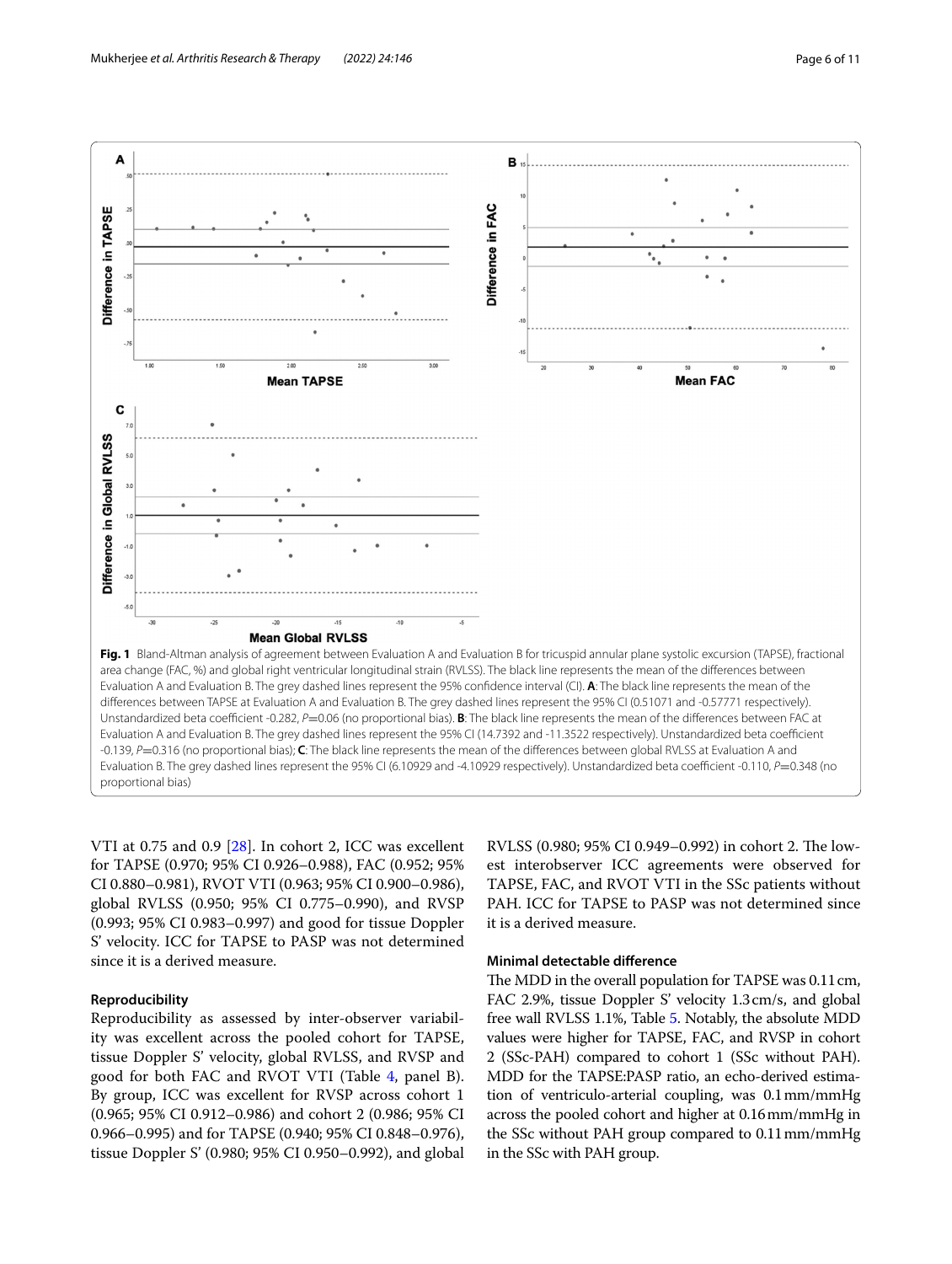

<span id="page-5-0"></span>VTI at 0.75 and 0.9 [[28\]](#page-9-24). In cohort 2, ICC was excellent for TAPSE (0.970; 95% CI 0.926–0.988), FAC (0.952; 95% CI 0.880–0.981), RVOT VTI (0.963; 95% CI 0.900–0.986), global RVLSS (0.950; 95% CI 0.775–0.990), and RVSP (0.993; 95% CI 0.983–0.997) and good for tissue Doppler S' velocity. ICC for TAPSE to PASP was not determined since it is a derived measure.

# **Reproducibility**

Reproducibility as assessed by inter-observer variability was excellent across the pooled cohort for TAPSE, tissue Doppler S' velocity, global RVLSS, and RVSP and good for both FAC and RVOT VTI (Table [4](#page-6-0), panel B). By group, ICC was excellent for RVSP across cohort 1 (0.965; 95% CI 0.912–0.986) and cohort 2 (0.986; 95% CI 0.966–0.995) and for TAPSE (0.940; 95% CI 0.848–0.976), tissue Doppler S' (0.980; 95% CI 0.950–0.992), and global

RVLSS (0.980; 95% CI 0.949-0.992) in cohort 2. The lowest interobserver ICC agreements were observed for TAPSE, FAC, and RVOT VTI in the SSc patients without PAH. ICC for TAPSE to PASP was not determined since it is a derived measure.

# **Minimal detectable diference**

The MDD in the overall population for TAPSE was 0.11 cm, FAC 2.9%, tissue Doppler S' velocity 1.3cm/s, and global free wall RVLSS 1.1%, Table [5.](#page-6-1) Notably, the absolute MDD values were higher for TAPSE, FAC, and RVSP in cohort 2 (SSc-PAH) compared to cohort 1 (SSc without PAH). MDD for the TAPSE:PASP ratio, an echo-derived estimation of ventriculo-arterial coupling, was 0.1mm/mmHg across the pooled cohort and higher at 0.16mm/mmHg in the SSc without PAH group compared to 0.11mm/mmHg in the SSc with PAH group.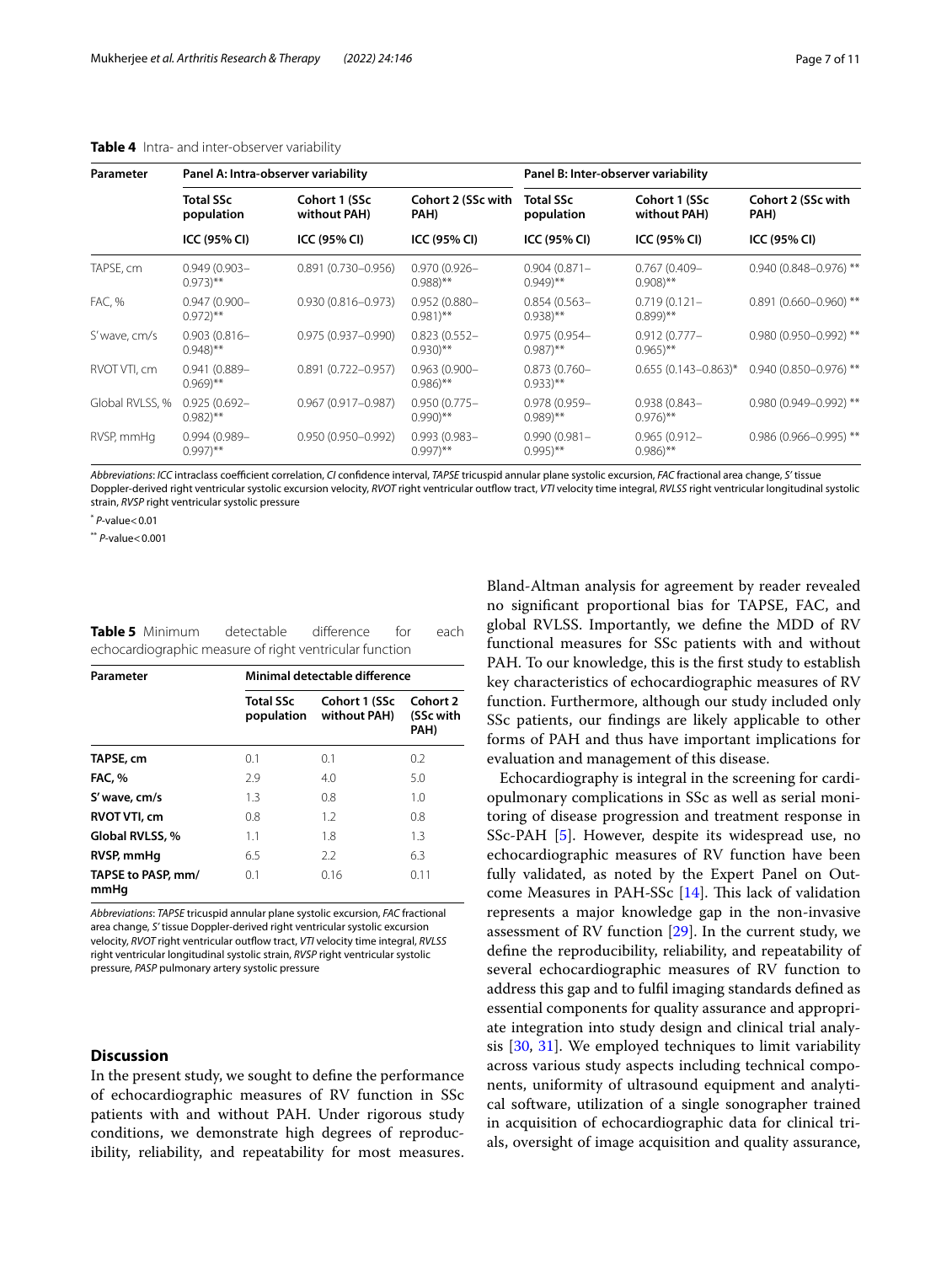| Parameter       |                                          | Panel A: Intra-observer variability |                                          | Panel B: Inter-observer variability      |                                          |                            |  |
|-----------------|------------------------------------------|-------------------------------------|------------------------------------------|------------------------------------------|------------------------------------------|----------------------------|--|
|                 | <b>Total SSc</b><br>population           | Cohort 1 (SSc<br>without PAH)       | Cohort 2 (SSc with<br>PAH)               | <b>Total SSc</b><br>population           | Cohort 1 (SSc<br>without PAH)            | Cohort 2 (SSc with<br>PAH) |  |
|                 | ICC (95% CI)                             | ICC (95% CI)                        | ICC (95% CI)                             | ICC (95% CI)                             | ICC (95% CI)                             | ICC (95% CI)               |  |
| TAPSE, cm       | $0.949(0.903 -$<br>$0.973$ <sup>**</sup> | $0.891(0.730 - 0.956)$              | $0.970(0.926 -$<br>$0.988$ <sup>**</sup> | $0.904(0.871 -$<br>$(0.949)$ **          | $0.767(0.409 -$<br>$0.908$ <sup>**</sup> | $0.940(0.848 - 0.976)$ **  |  |
| FAC, %          | $0.947(0.900 -$<br>$0.972$ <sup>**</sup> | $0.930(0.816 - 0.973)$              | $0.952(0.880 -$<br>$0.981$ <sup>**</sup> | $0.854(0.563 -$<br>$0.938$ <sup>**</sup> | $0.719(0.121 -$<br>$(0.899)$ **          | $0.891(0.660 - 0.960)$ **  |  |
| S' wave, cm/s   | $0.903(0.816 -$<br>$0.948$ <sup>**</sup> | $0.975(0.937 - 0.990)$              | $0.823(0.552 -$<br>$0.930$ <sup>**</sup> | $0.975(0.954 -$<br>$0.987$ <sup>**</sup> | $0.912(0.777 -$<br>$0.965$ <sup>**</sup> | $0.980(0.950 - 0.992)$ **  |  |
| RVOT VTI, cm    | $0.941(0.889 -$<br>$(0.969)$ **          | $0.891(0.722 - 0.957)$              | $0.963(0.900 -$<br>$0.986$ <sup>**</sup> | $0.873(0.760 -$<br>$(0.933)$ **          | $0.655(0.143 - 0.863)^*$                 | $0.940(0.850 - 0.976)$ **  |  |
| Global RVLSS, % | $0.925(0.692 -$<br>$0.982$ <sup>**</sup> | $0.967(0.917 - 0.987)$              | $0.950(0.775 -$<br>$0.990$ <sup>**</sup> | $0.978(0.959 -$<br>$(0.989)$ **          | $0.938(0.843 -$<br>$0.976$ <sup>**</sup> | $0.980(0.949 - 0.992)$ **  |  |
| RVSP, mmHg      | $0.994(0.989 -$<br>$(0.997)$ **          | $0.950(0.950 - 0.992)$              | $0.993(0.983 -$<br>$(0.997)$ **          | $0.990(0.981 -$<br>$0.995$ <sup>**</sup> | $0.965(0.912 -$<br>$0.986$ <sup>**</sup> | $0.986(0.966 - 0.995)$ **  |  |

# <span id="page-6-0"></span>**Table 4** Intra- and inter-observer variability

Abbreviations: *ICC* intraclass coefficient correlation, *CI* confidence interval, *TAPSE* tricuspid annular plane systolic excursion, *FAC* fractional area change, *S'* tissue Doppler-derived right ventricular systolic excursion velocity, *RVOT* right ventricular outfow tract, *VTI* velocity time integral, *RVLSS* right ventricular longitudinal systolic strain, *RVSP* right ventricular systolic pressure

\* *P*-value<0.01

\*\* *P*-value<0.001

<span id="page-6-1"></span>

| Table 5 Minimum | detectable                                              | difference | for | each. |
|-----------------|---------------------------------------------------------|------------|-----|-------|
|                 | echocardiographic measure of right ventricular function |            |     |       |

| Parameter                  | Minimal detectable difference  |                               |                               |  |  |  |
|----------------------------|--------------------------------|-------------------------------|-------------------------------|--|--|--|
|                            | <b>Total SSc</b><br>population | Cohort 1 (SSc<br>without PAH) | Cohort 2<br>(SSc with<br>PAH) |  |  |  |
| TAPSE, cm                  | 0.1                            | 0.1                           | 0.2                           |  |  |  |
| <b>FAC.</b> %              | 2.9                            | 4.0                           | 5.0                           |  |  |  |
| S' wave, cm/s              | 1.3                            | 0.8                           | 1.0                           |  |  |  |
| <b>RVOT VTI, cm</b>        | 0.8                            | 1.2                           | 0.8                           |  |  |  |
| Global RVLSS, %            | 1.1                            | 1.8                           | 1.3                           |  |  |  |
| RVSP, mmHq                 | 6.5                            | 2.2                           | 6.3                           |  |  |  |
| TAPSE to PASP, mm/<br>mmHq | 0.1                            | 0.16                          | 0.11                          |  |  |  |

*Abbreviations*: *TAPSE* tricuspid annular plane systolic excursion, *FAC* fractional area change, *S'* tissue Doppler-derived right ventricular systolic excursion velocity, *RVOT* right ventricular outfow tract, *VTI* velocity time integral, *RVLSS* right ventricular longitudinal systolic strain, *RVSP* right ventricular systolic pressure, *PASP* pulmonary artery systolic pressure

# **Discussion**

In the present study, we sought to defne the performance of echocardiographic measures of RV function in SSc patients with and without PAH. Under rigorous study conditions, we demonstrate high degrees of reproducibility, reliability, and repeatability for most measures. Bland-Altman analysis for agreement by reader revealed no signifcant proportional bias for TAPSE, FAC, and global RVLSS. Importantly, we defne the MDD of RV functional measures for SSc patients with and without PAH. To our knowledge, this is the frst study to establish key characteristics of echocardiographic measures of RV function. Furthermore, although our study included only SSc patients, our fndings are likely applicable to other forms of PAH and thus have important implications for evaluation and management of this disease.

Echocardiography is integral in the screening for cardiopulmonary complications in SSc as well as serial monitoring of disease progression and treatment response in SSc-PAH [\[5\]](#page-9-1). However, despite its widespread use, no echocardiographic measures of RV function have been fully validated, as noted by the Expert Panel on Outcome Measures in PAH-SSc  $[14]$  $[14]$ . This lack of validation represents a major knowledge gap in the non-invasive assessment of RV function [\[29\]](#page-9-25). In the current study, we defne the reproducibility, reliability, and repeatability of several echocardiographic measures of RV function to address this gap and to fulfl imaging standards defned as essential components for quality assurance and appropriate integration into study design and clinical trial analysis [[30](#page-9-26), [31\]](#page-9-27). We employed techniques to limit variability across various study aspects including technical components, uniformity of ultrasound equipment and analytical software, utilization of a single sonographer trained in acquisition of echocardiographic data for clinical trials, oversight of image acquisition and quality assurance,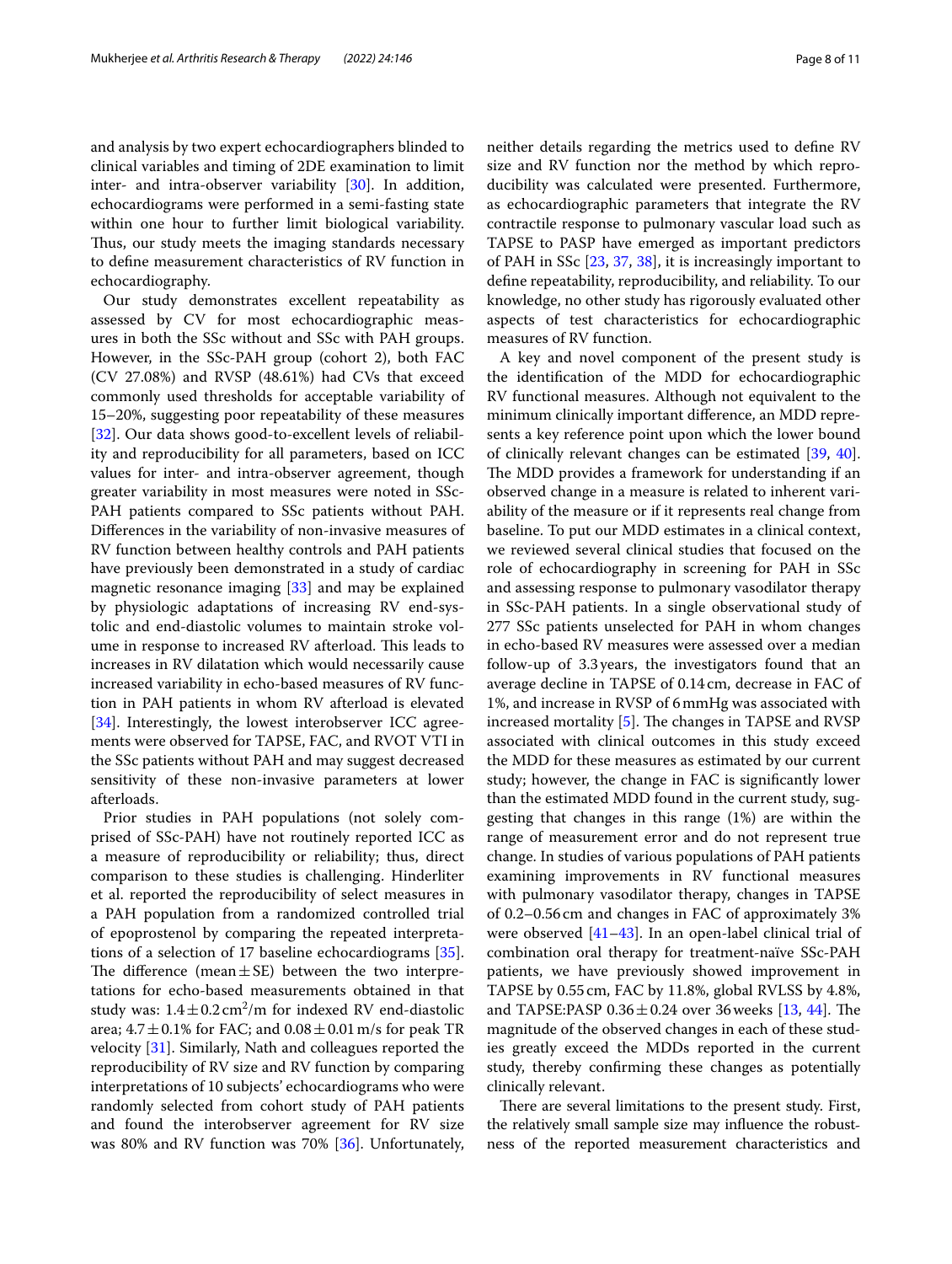and analysis by two expert echocardiographers blinded to clinical variables and timing of 2DE examination to limit inter- and intra-observer variability [\[30\]](#page-9-26). In addition, echocardiograms were performed in a semi-fasting state within one hour to further limit biological variability. Thus, our study meets the imaging standards necessary to defne measurement characteristics of RV function in echocardiography.

Our study demonstrates excellent repeatability as assessed by CV for most echocardiographic measures in both the SSc without and SSc with PAH groups. However, in the SSc-PAH group (cohort 2), both FAC (CV 27.08%) and RVSP (48.61%) had CVs that exceed commonly used thresholds for acceptable variability of 15–20%, suggesting poor repeatability of these measures [[32\]](#page-9-28). Our data shows good-to-excellent levels of reliability and reproducibility for all parameters, based on ICC values for inter- and intra-observer agreement, though greater variability in most measures were noted in SSc-PAH patients compared to SSc patients without PAH. Diferences in the variability of non-invasive measures of RV function between healthy controls and PAH patients have previously been demonstrated in a study of cardiac magnetic resonance imaging [\[33](#page-9-29)] and may be explained by physiologic adaptations of increasing RV end-systolic and end-diastolic volumes to maintain stroke volume in response to increased RV afterload. This leads to increases in RV dilatation which would necessarily cause increased variability in echo-based measures of RV function in PAH patients in whom RV afterload is elevated [[34\]](#page-9-30). Interestingly, the lowest interobserver ICC agreements were observed for TAPSE, FAC, and RVOT VTI in the SSc patients without PAH and may suggest decreased sensitivity of these non-invasive parameters at lower afterloads.

Prior studies in PAH populations (not solely comprised of SSc-PAH) have not routinely reported ICC as a measure of reproducibility or reliability; thus, direct comparison to these studies is challenging. Hinderliter et al. reported the reproducibility of select measures in a PAH population from a randomized controlled trial of epoprostenol by comparing the repeated interpretations of a selection of 17 baseline echocardiograms [\[35](#page-9-31)]. The difference (mean $\pm$ SE) between the two interpretations for echo-based measurements obtained in that study was:  $1.4 \pm 0.2 \text{ cm}^2/\text{m}$  for indexed RV end-diastolic area;  $4.7 \pm 0.1\%$  for FAC; and  $0.08 \pm 0.01$  m/s for peak TR velocity [\[31](#page-9-27)]. Similarly, Nath and colleagues reported the reproducibility of RV size and RV function by comparing interpretations of 10 subjects' echocardiograms who were randomly selected from cohort study of PAH patients and found the interobserver agreement for RV size was 80% and RV function was 70% [[36](#page-9-32)]. Unfortunately,

neither details regarding the metrics used to defne RV size and RV function nor the method by which reproducibility was calculated were presented. Furthermore, as echocardiographic parameters that integrate the RV contractile response to pulmonary vascular load such as TAPSE to PASP have emerged as important predictors of PAH in SSc [[23,](#page-9-19) [37,](#page-9-33) [38](#page-9-34)], it is increasingly important to defne repeatability, reproducibility, and reliability. To our knowledge, no other study has rigorously evaluated other aspects of test characteristics for echocardiographic measures of RV function.

A key and novel component of the present study is the identifcation of the MDD for echocardiographic RV functional measures. Although not equivalent to the minimum clinically important diference, an MDD represents a key reference point upon which the lower bound of clinically relevant changes can be estimated [[39](#page-9-35), [40](#page-9-36)]. The MDD provides a framework for understanding if an observed change in a measure is related to inherent variability of the measure or if it represents real change from baseline. To put our MDD estimates in a clinical context, we reviewed several clinical studies that focused on the role of echocardiography in screening for PAH in SSc and assessing response to pulmonary vasodilator therapy in SSc-PAH patients. In a single observational study of 277 SSc patients unselected for PAH in whom changes in echo-based RV measures were assessed over a median follow-up of 3.3years, the investigators found that an average decline in TAPSE of 0.14cm, decrease in FAC of 1%, and increase in RVSP of 6mmHg was associated with increased mortality  $[5]$  $[5]$ . The changes in TAPSE and RVSP associated with clinical outcomes in this study exceed the MDD for these measures as estimated by our current study; however, the change in FAC is signifcantly lower than the estimated MDD found in the current study, suggesting that changes in this range (1%) are within the range of measurement error and do not represent true change. In studies of various populations of PAH patients examining improvements in RV functional measures with pulmonary vasodilator therapy, changes in TAPSE of 0.2–0.56cm and changes in FAC of approximately 3% were observed [\[41](#page-10-0)[–43\]](#page-10-1). In an open-label clinical trial of combination oral therapy for treatment-naïve SSc-PAH patients, we have previously showed improvement in TAPSE by 0.55 cm, FAC by 11.8%, global RVLSS by 4.8%, and TAPSE:PASP  $0.36 \pm 0.24$  over 36 weeks [[13,](#page-9-9) [44\]](#page-10-2). The magnitude of the observed changes in each of these studies greatly exceed the MDDs reported in the current study, thereby confrming these changes as potentially clinically relevant.

There are several limitations to the present study. First, the relatively small sample size may infuence the robustness of the reported measurement characteristics and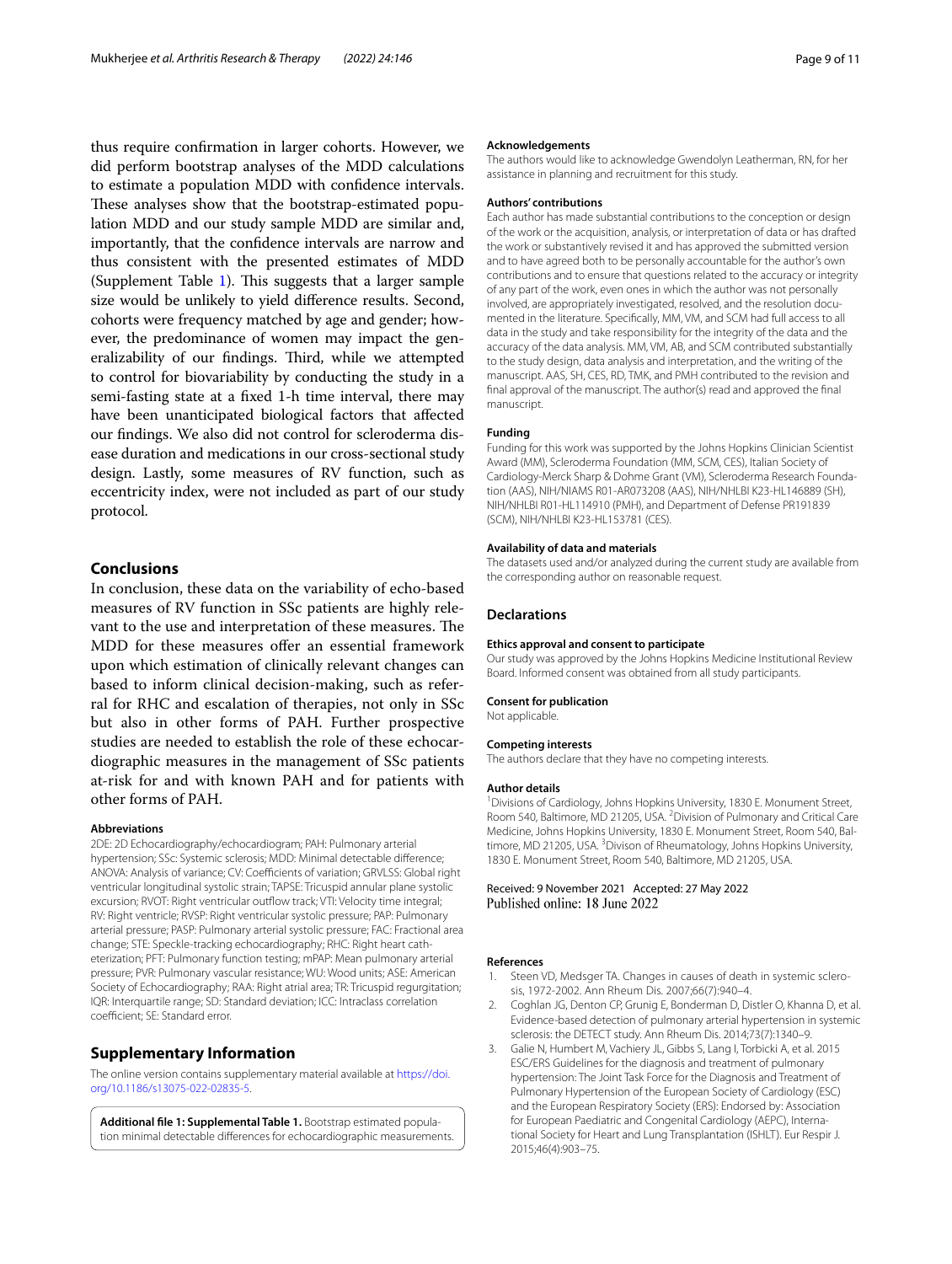thus require confrmation in larger cohorts. However, we did perform bootstrap analyses of the MDD calculations to estimate a population MDD with confdence intervals. These analyses show that the bootstrap-estimated population MDD and our study sample MDD are similar and, importantly, that the confdence intervals are narrow and thus consistent with the presented estimates of MDD (Supplement Table [1\)](#page-8-3). This suggests that a larger sample size would be unlikely to yield diference results. Second, cohorts were frequency matched by age and gender; however, the predominance of women may impact the generalizability of our findings. Third, while we attempted to control for biovariability by conducting the study in a semi-fasting state at a fxed 1-h time interval, there may have been unanticipated biological factors that affected our fndings. We also did not control for scleroderma disease duration and medications in our cross-sectional study design. Lastly, some measures of RV function, such as eccentricity index, were not included as part of our study protocol.

# **Conclusions**

In conclusion, these data on the variability of echo-based measures of RV function in SSc patients are highly relevant to the use and interpretation of these measures. The MDD for these measures offer an essential framework upon which estimation of clinically relevant changes can based to inform clinical decision-making, such as referral for RHC and escalation of therapies, not only in SSc but also in other forms of PAH. Further prospective studies are needed to establish the role of these echocardiographic measures in the management of SSc patients at-risk for and with known PAH and for patients with other forms of PAH.

#### **Abbreviations**

2DE: 2D Echocardiography/echocardiogram; PAH: Pulmonary arterial hypertension; SSc: Systemic sclerosis; MDD: Minimal detectable diference; ANOVA: Analysis of variance; CV: Coefficients of variation; GRVLSS: Global right ventricular longitudinal systolic strain; TAPSE: Tricuspid annular plane systolic excursion; RVOT: Right ventricular outflow track; VTI: Velocity time integral; RV: Right ventricle; RVSP: Right ventricular systolic pressure; PAP: Pulmonary arterial pressure; PASP: Pulmonary arterial systolic pressure; FAC: Fractional area change; STE: Speckle-tracking echocardiography; RHC: Right heart catheterization; PFT: Pulmonary function testing; mPAP: Mean pulmonary arterial pressure; PVR: Pulmonary vascular resistance; WU: Wood units; ASE: American Society of Echocardiography; RAA: Right atrial area; TR: Tricuspid regurgitation; IQR: Interquartile range; SD: Standard deviation; ICC: Intraclass correlation coefficient; SE: Standard error.

# **Supplementary Information**

The online version contains supplementary material available at [https://doi.](https://doi.org/10.1186/s13075-022-02835-5) [org/10.1186/s13075-022-02835-5](https://doi.org/10.1186/s13075-022-02835-5).

<span id="page-8-3"></span>**Additional fle 1: Supplemental Table 1.** Bootstrap estimated population minimal detectable diferences for echocardiographic measurements.

#### **Acknowledgements**

The authors would like to acknowledge Gwendolyn Leatherman, RN, for her assistance in planning and recruitment for this study.

#### **Authors' contributions**

Each author has made substantial contributions to the conception or design of the work or the acquisition, analysis, or interpretation of data or has drafted the work or substantively revised it and has approved the submitted version and to have agreed both to be personally accountable for the author's own contributions and to ensure that questions related to the accuracy or integrity of any part of the work, even ones in which the author was not personally involved, are appropriately investigated, resolved, and the resolution documented in the literature. Specifcally, MM, VM, and SCM had full access to all data in the study and take responsibility for the integrity of the data and the accuracy of the data analysis. MM, VM, AB, and SCM contributed substantially to the study design, data analysis and interpretation, and the writing of the manuscript. AAS, SH, CES, RD, TMK, and PMH contributed to the revision and fnal approval of the manuscript. The author(s) read and approved the fnal manuscript.

#### **Funding**

Funding for this work was supported by the Johns Hopkins Clinician Scientist Award (MM), Scleroderma Foundation (MM, SCM, CES), Italian Society of Cardiology-Merck Sharp & Dohme Grant (VM), Scleroderma Research Foundation (AAS), NIH/NIAMS R01-AR073208 (AAS), NIH/NHLBI K23-HL146889 (SH), NIH/NHLBI R01-HL114910 (PMH), and Department of Defense PR191839 (SCM), NIH/NHLBI K23-HL153781 (CES).

#### **Availability of data and materials**

The datasets used and/or analyzed during the current study are available from the corresponding author on reasonable request.

#### **Declarations**

#### **Ethics approval and consent to participate**

Our study was approved by the Johns Hopkins Medicine Institutional Review Board. Informed consent was obtained from all study participants.

#### **Consent for publication**

Not applicable.

#### **Competing interests**

The authors declare that they have no competing interests.

#### **Author details**

<sup>1</sup> Divisions of Cardiology, Johns Hopkins University, 1830 E. Monument Street, Room 540, Baltimore, MD 21205, USA. <sup>2</sup> Division of Pulmonary and Critical Care Medicine, Johns Hopkins University, 1830 E. Monument Street, Room 540, Baltimore, MD 21205, USA. <sup>3</sup> Divison of Rheumatology, Johns Hopkins University, 1830 E. Monument Street, Room 540, Baltimore, MD 21205, USA.

Received: 9 November 2021 Accepted: 27 May 2022 Published online: 18 June 2022

#### **References**

- <span id="page-8-0"></span>1. Steen VD, Medsger TA. Changes in causes of death in systemic sclerosis, 1972-2002. Ann Rheum Dis. 2007;66(7):940–4.
- <span id="page-8-1"></span>2. Coghlan JG, Denton CP, Grunig E, Bonderman D, Distler O, Khanna D, et al. Evidence-based detection of pulmonary arterial hypertension in systemic sclerosis: the DETECT study. Ann Rheum Dis. 2014;73(7):1340–9.
- <span id="page-8-2"></span>3. Galie N, Humbert M, Vachiery JL, Gibbs S, Lang I, Torbicki A, et al. 2015 ESC/ERS Guidelines for the diagnosis and treatment of pulmonary hypertension: The Joint Task Force for the Diagnosis and Treatment of Pulmonary Hypertension of the European Society of Cardiology (ESC) and the European Respiratory Society (ERS): Endorsed by: Association for European Paediatric and Congenital Cardiology (AEPC), International Society for Heart and Lung Transplantation (ISHLT). Eur Respir J. 2015;46(4):903–75.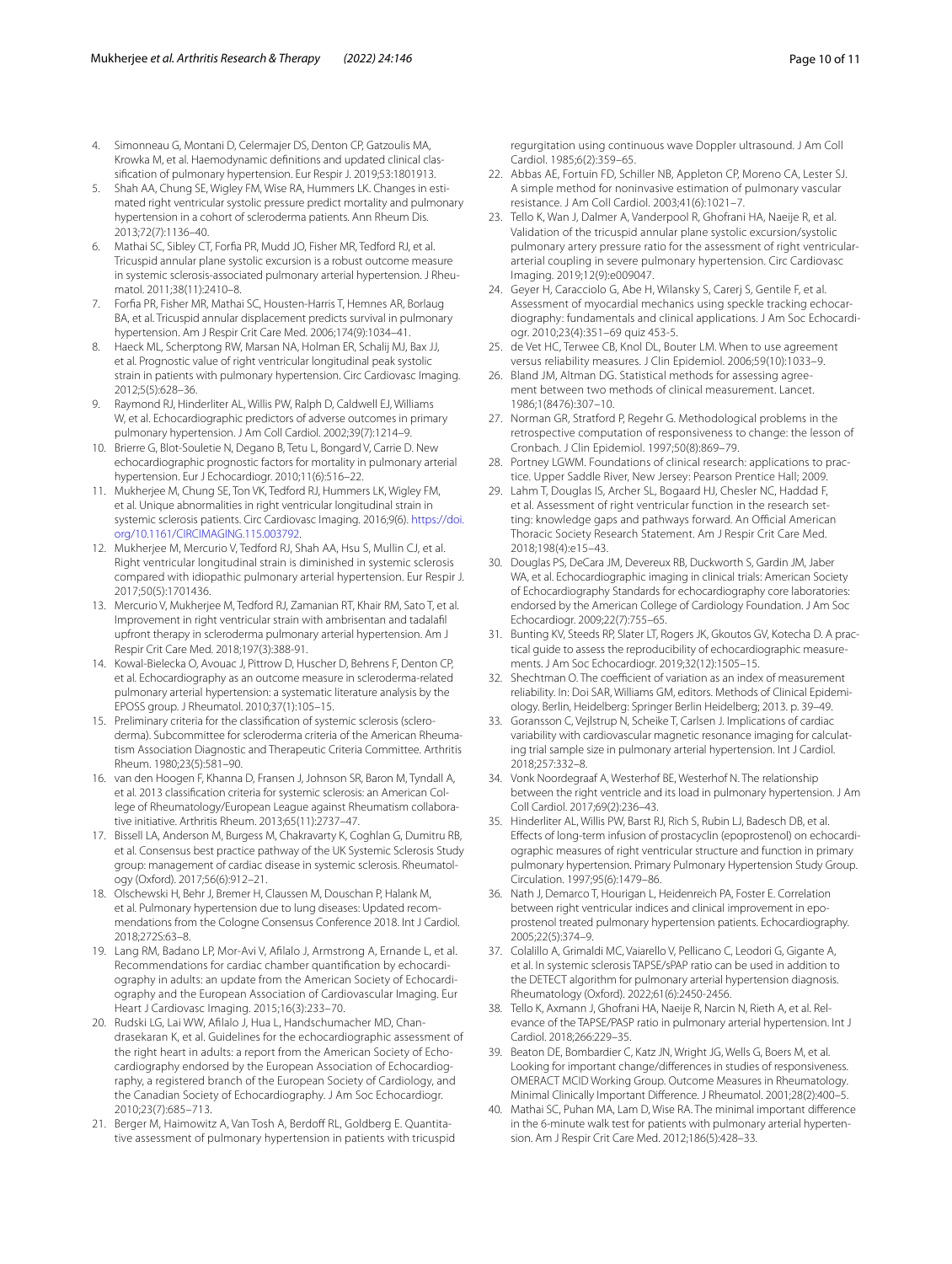- <span id="page-9-0"></span>4. Simonneau G, Montani D, Celermajer DS, Denton CP, Gatzoulis MA, Krowka M, et al. Haemodynamic defnitions and updated clinical classifcation of pulmonary hypertension. Eur Respir J. 2019;53:1801913.
- <span id="page-9-1"></span>5. Shah AA, Chung SE, Wigley FM, Wise RA, Hummers LK. Changes in estimated right ventricular systolic pressure predict mortality and pulmonary hypertension in a cohort of scleroderma patients. Ann Rheum Dis. 2013;72(7):1136–40.
- <span id="page-9-2"></span>6. Mathai SC, Sibley CT, Forfa PR, Mudd JO, Fisher MR, Tedford RJ, et al. Tricuspid annular plane systolic excursion is a robust outcome measure in systemic sclerosis-associated pulmonary arterial hypertension. J Rheumatol. 2011;38(11):2410–8.
- <span id="page-9-3"></span>7. Forfa PR, Fisher MR, Mathai SC, Housten-Harris T, Hemnes AR, Borlaug BA, et al. Tricuspid annular displacement predicts survival in pulmonary hypertension. Am J Respir Crit Care Med. 2006;174(9):1034–41.
- <span id="page-9-4"></span>8. Haeck ML, Scherptong RW, Marsan NA, Holman ER, Schalij MJ, Bax JJ, et al. Prognostic value of right ventricular longitudinal peak systolic strain in patients with pulmonary hypertension. Circ Cardiovasc Imaging. 2012;5(5):628–36.
- <span id="page-9-5"></span>9. Raymond RJ, Hinderliter AL, Willis PW, Ralph D, Caldwell EJ, Williams W, et al. Echocardiographic predictors of adverse outcomes in primary pulmonary hypertension. J Am Coll Cardiol. 2002;39(7):1214–9.
- <span id="page-9-6"></span>10. Brierre G, Blot-Souletie N, Degano B, Tetu L, Bongard V, Carrie D. New echocardiographic prognostic factors for mortality in pulmonary arterial hypertension. Eur J Echocardiogr. 2010;11(6):516–22.
- <span id="page-9-7"></span>11. Mukherjee M, Chung SE, Ton VK, Tedford RJ, Hummers LK, Wigley FM, et al. Unique abnormalities in right ventricular longitudinal strain in systemic sclerosis patients. Circ Cardiovasc Imaging. 2016;9(6). [https://doi.](https://doi.org/10.1161/CIRCIMAGING.115.003792) [org/10.1161/CIRCIMAGING.115.003792](https://doi.org/10.1161/CIRCIMAGING.115.003792).
- <span id="page-9-8"></span>12. Mukherjee M, Mercurio V, Tedford RJ, Shah AA, Hsu S, Mullin CJ, et al. Right ventricular longitudinal strain is diminished in systemic sclerosis compared with idiopathic pulmonary arterial hypertension. Eur Respir J. 2017;50(5):1701436.
- <span id="page-9-9"></span>13. Mercurio V, Mukherjee M, Tedford RJ, Zamanian RT, Khair RM, Sato T, et al. Improvement in right ventricular strain with ambrisentan and tadalafl upfront therapy in scleroderma pulmonary arterial hypertension. Am J Respir Crit Care Med. 2018;197(3):388-91.
- <span id="page-9-10"></span>14. Kowal-Bielecka O, Avouac J, Pittrow D, Huscher D, Behrens F, Denton CP, et al. Echocardiography as an outcome measure in scleroderma-related pulmonary arterial hypertension: a systematic literature analysis by the EPOSS group. J Rheumatol. 2010;37(1):105–15.
- <span id="page-9-11"></span>15. Preliminary criteria for the classifcation of systemic sclerosis (scleroderma). Subcommittee for scleroderma criteria of the American Rheumatism Association Diagnostic and Therapeutic Criteria Committee. Arthritis Rheum. 1980;23(5):581–90.
- <span id="page-9-12"></span>16. van den Hoogen F, Khanna D, Fransen J, Johnson SR, Baron M, Tyndall A, et al. 2013 classifcation criteria for systemic sclerosis: an American College of Rheumatology/European League against Rheumatism collaborative initiative. Arthritis Rheum. 2013;65(11):2737–47.
- <span id="page-9-13"></span>17. Bissell LA, Anderson M, Burgess M, Chakravarty K, Coghlan G, Dumitru RB, et al. Consensus best practice pathway of the UK Systemic Sclerosis Study group: management of cardiac disease in systemic sclerosis. Rheumatology (Oxford). 2017;56(6):912–21.
- <span id="page-9-14"></span>18. Olschewski H, Behr J, Bremer H, Claussen M, Douschan P, Halank M, et al. Pulmonary hypertension due to lung diseases: Updated recommendations from the Cologne Consensus Conference 2018. Int J Cardiol. 2018;272S:63–8.
- <span id="page-9-15"></span>19. Lang RM, Badano LP, Mor-Avi V, Aflalo J, Armstrong A, Ernande L, et al. Recommendations for cardiac chamber quantifcation by echocardiography in adults: an update from the American Society of Echocardiography and the European Association of Cardiovascular Imaging. Eur Heart J Cardiovasc Imaging. 2015;16(3):233–70.
- <span id="page-9-16"></span>20. Rudski LG, Lai WW, Aflalo J, Hua L, Handschumacher MD, Chandrasekaran K, et al. Guidelines for the echocardiographic assessment of the right heart in adults: a report from the American Society of Echocardiography endorsed by the European Association of Echocardiography, a registered branch of the European Society of Cardiology, and the Canadian Society of Echocardiography. J Am Soc Echocardiogr. 2010;23(7):685–713.
- <span id="page-9-17"></span>21. Berger M, Haimowitz A, Van Tosh A, Berdoff RL, Goldberg E. Quantitative assessment of pulmonary hypertension in patients with tricuspid

regurgitation using continuous wave Doppler ultrasound. J Am Coll Cardiol. 1985;6(2):359–65.

- <span id="page-9-18"></span>22. Abbas AE, Fortuin FD, Schiller NB, Appleton CP, Moreno CA, Lester SJ. A simple method for noninvasive estimation of pulmonary vascular resistance. J Am Coll Cardiol. 2003;41(6):1021–7.
- <span id="page-9-19"></span>23. Tello K, Wan J, Dalmer A, Vanderpool R, Ghofrani HA, Naeije R, et al. Validation of the tricuspid annular plane systolic excursion/systolic pulmonary artery pressure ratio for the assessment of right ventriculararterial coupling in severe pulmonary hypertension. Circ Cardiovasc Imaging. 2019;12(9):e009047.
- <span id="page-9-20"></span>24. Geyer H, Caracciolo G, Abe H, Wilansky S, Carerj S, Gentile F, et al. Assessment of myocardial mechanics using speckle tracking echocardiography: fundamentals and clinical applications. J Am Soc Echocardiogr. 2010;23(4):351–69 quiz 453-5.
- <span id="page-9-21"></span>25. de Vet HC, Terwee CB, Knol DL, Bouter LM. When to use agreement versus reliability measures. J Clin Epidemiol. 2006;59(10):1033–9.
- <span id="page-9-22"></span>26. Bland JM, Altman DG. Statistical methods for assessing agreement between two methods of clinical measurement. Lancet. 1986;1(8476):307–10.
- <span id="page-9-23"></span>27. Norman GR, Stratford P, Regehr G. Methodological problems in the retrospective computation of responsiveness to change: the lesson of Cronbach. J Clin Epidemiol. 1997;50(8):869–79.
- <span id="page-9-24"></span>28. Portney LGWM. Foundations of clinical research: applications to practice. Upper Saddle River, New Jersey: Pearson Prentice Hall; 2009.
- <span id="page-9-25"></span>29. Lahm T, Douglas IS, Archer SL, Bogaard HJ, Chesler NC, Haddad F, et al. Assessment of right ventricular function in the research setting: knowledge gaps and pathways forward. An Official American Thoracic Society Research Statement. Am J Respir Crit Care Med. 2018;198(4):e15–43.
- <span id="page-9-26"></span>30. Douglas PS, DeCara JM, Devereux RB, Duckworth S, Gardin JM, Jaber WA, et al. Echocardiographic imaging in clinical trials: American Society of Echocardiography Standards for echocardiography core laboratories: endorsed by the American College of Cardiology Foundation. J Am Soc Echocardiogr. 2009;22(7):755–65.
- <span id="page-9-27"></span>31. Bunting KV, Steeds RP, Slater LT, Rogers JK, Gkoutos GV, Kotecha D. A practical guide to assess the reproducibility of echocardiographic measurements. J Am Soc Echocardiogr. 2019;32(12):1505–15.
- <span id="page-9-28"></span>32. Shechtman O. The coefficient of variation as an index of measurement reliability. In: Doi SAR, Williams GM, editors. Methods of Clinical Epidemiology. Berlin, Heidelberg: Springer Berlin Heidelberg; 2013. p. 39–49.
- <span id="page-9-29"></span>33. Goransson C, Vejlstrup N, Scheike T, Carlsen J. Implications of cardiac variability with cardiovascular magnetic resonance imaging for calculating trial sample size in pulmonary arterial hypertension. Int J Cardiol. 2018;257:332–8.
- <span id="page-9-30"></span>34. Vonk Noordegraaf A, Westerhof BE, Westerhof N. The relationship between the right ventricle and its load in pulmonary hypertension. J Am Coll Cardiol. 2017;69(2):236–43.
- <span id="page-9-31"></span>35. Hinderliter AL, Willis PW, Barst RJ, Rich S, Rubin LJ, Badesch DB, et al. Efects of long-term infusion of prostacyclin (epoprostenol) on echocardiographic measures of right ventricular structure and function in primary pulmonary hypertension. Primary Pulmonary Hypertension Study Group. Circulation. 1997;95(6):1479–86.
- <span id="page-9-32"></span>36. Nath J, Demarco T, Hourigan L, Heidenreich PA, Foster E. Correlation between right ventricular indices and clinical improvement in epoprostenol treated pulmonary hypertension patients. Echocardiography. 2005;22(5):374–9.
- <span id="page-9-33"></span>37. Colalillo A, Grimaldi MC, Vaiarello V, Pellicano C, Leodori G, Gigante A, et al. In systemic sclerosis TAPSE/sPAP ratio can be used in addition to the DETECT algorithm for pulmonary arterial hypertension diagnosis. Rheumatology (Oxford). 2022;61(6):2450-2456.
- <span id="page-9-34"></span>38. Tello K, Axmann J, Ghofrani HA, Naeije R, Narcin N, Rieth A, et al. Relevance of the TAPSE/PASP ratio in pulmonary arterial hypertension. Int J Cardiol. 2018;266:229–35.
- <span id="page-9-35"></span>39. Beaton DE, Bombardier C, Katz JN, Wright JG, Wells G, Boers M, et al. Looking for important change/diferences in studies of responsiveness. OMERACT MCID Working Group. Outcome Measures in Rheumatology. Minimal Clinically Important Diference. J Rheumatol. 2001;28(2):400–5.
- <span id="page-9-36"></span>40. Mathai SC, Puhan MA, Lam D, Wise RA. The minimal important diference in the 6-minute walk test for patients with pulmonary arterial hypertension. Am J Respir Crit Care Med. 2012;186(5):428–33.